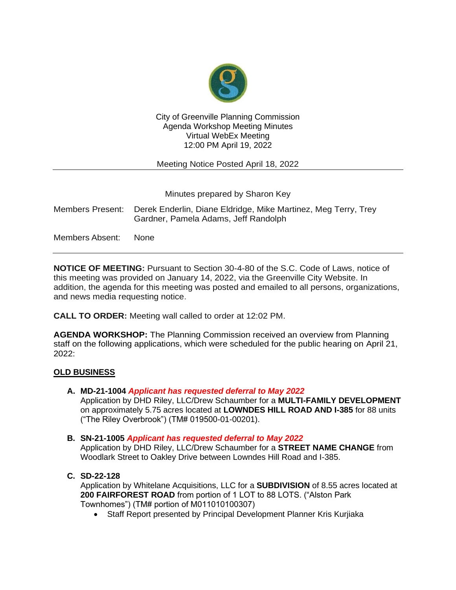

### City of Greenville Planning Commission Agenda Workshop Meeting Minutes Virtual WebEx Meeting 12:00 PM April 19, 2022

Meeting Notice Posted April 18, 2022

Minutes prepared by Sharon Key

|                 | Members Present: Derek Enderlin, Diane Eldridge, Mike Martinez, Meg Terry, Trey<br>Gardner, Pamela Adams, Jeff Randolph |
|-----------------|-------------------------------------------------------------------------------------------------------------------------|
| Members Absent: | None.                                                                                                                   |

**NOTICE OF MEETING:** Pursuant to Section 30-4-80 of the S.C. Code of Laws, notice of this meeting was provided on January 14, 2022, via the Greenville City Website. In addition, the agenda for this meeting was posted and emailed to all persons, organizations, and news media requesting notice.

**CALL TO ORDER:** Meeting wall called to order at 12:02 PM.

**AGENDA WORKSHOP:** The Planning Commission received an overview from Planning staff on the following applications, which were scheduled for the public hearing on April 21, 2022:

### **OLD BUSINESS**

**A. MD-21-1004** *Applicant has requested deferral to May 2022*

Application by DHD Riley, LLC/Drew Schaumber for a **MULTI-FAMILY DEVELOPMENT** on approximately 5.75 acres located at **LOWNDES HILL ROAD AND I-385** for 88 units ("The Riley Overbrook") (TM# 019500-01-00201).

### **B. SN-21-1005** *Applicant has requested deferral to May 2022*

Application by DHD Riley, LLC/Drew Schaumber for a **STREET NAME CHANGE** from Woodlark Street to Oakley Drive between Lowndes Hill Road and I-385.

**C. SD-22-128**

Application by Whitelane Acquisitions, LLC for a **SUBDIVISION** of 8.55 acres located at **200 FAIRFOREST ROAD** from portion of 1 LOT to 88 LOTS. ("Alston Park Townhomes") (TM# portion of M011010100307)

• Staff Report presented by Principal Development Planner Kris Kurjiaka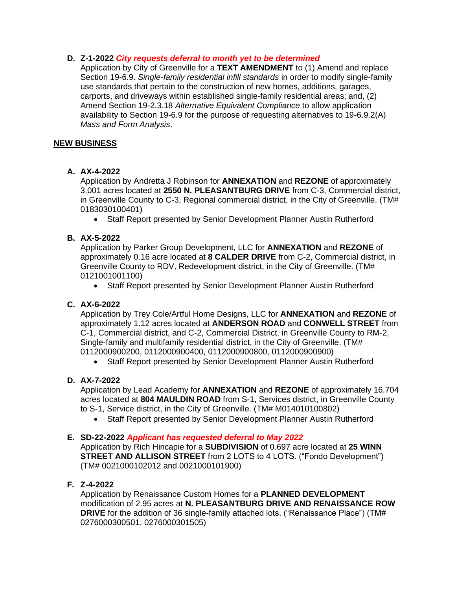# **D. Z-1-2022** *City requests deferral to month yet to be determined*

Application by City of Greenville for a **TEXT AMENDMENT** to (1) Amend and replace Section 19-6.9. *Single-family residential infill standards* in order to modify single-family use standards that pertain to the construction of new homes, additions, garages, carports, and driveways within established single-family residential areas; and, (2) Amend Section 19-2.3.18 *Alternative Equivalent Compliance* to allow application availability to Section 19-6.9 for the purpose of requesting alternatives to 19-6.9.2(A) *Mass and Form Analysis*.

## **NEW BUSINESS**

# **A. AX-4-2022**

Application by Andretta J Robinson for **ANNEXATION** and **REZONE** of approximately 3.001 acres located at **2550 N. PLEASANTBURG DRIVE** from C-3, Commercial district, in Greenville County to C-3, Regional commercial district, in the City of Greenville. (TM# 0183030100401)

• Staff Report presented by Senior Development Planner Austin Rutherford

# **B. AX-5-2022**

Application by Parker Group Development, LLC for **ANNEXATION** and **REZONE** of approximately 0.16 acre located at **8 CALDER DRIVE** from C-2, Commercial district, in Greenville County to RDV, Redevelopment district, in the City of Greenville. (TM# 0121001001100)

• Staff Report presented by Senior Development Planner Austin Rutherford

## **C. AX-6-2022**

Application by Trey Cole/Artful Home Designs, LLC for **ANNEXATION** and **REZONE** of approximately 1.12 acres located at **ANDERSON ROAD** and **CONWELL STREET** from C-1, Commercial district, and C-2, Commercial District, in Greenville County to RM-2, Single-family and multifamily residential district, in the City of Greenville. (TM# 0112000900200, 0112000900400, 0112000900800, 0112000900900)

• Staff Report presented by Senior Development Planner Austin Rutherford

# **D. AX-7-2022**

Application by Lead Academy for **ANNEXATION** and **REZONE** of approximately 16.704 acres located at **804 MAULDIN ROAD** from S-1, Services district, in Greenville County to S-1, Service district, in the City of Greenville. (TM# M014010100802)

• Staff Report presented by Senior Development Planner Austin Rutherford

### **E. SD-22-2022** *Applicant has requested deferral to May 2022*

Application by Rich Hincapie for a **SUBDIVISION** of 0.697 acre located at **25 WINN STREET AND ALLISON STREET** from 2 LOTS to 4 LOTS. ("Fondo Development") (TM# 0021000102012 and 0021000101900)

### **F. Z-4-2022**

Application by Renaissance Custom Homes for a **PLANNED DEVELOPMENT**  modification of 2.95 acres at **N. PLEASANTBURG DRIVE AND RENAISSANCE ROW DRIVE** for the addition of 36 single-family attached lots. ("Renaissance Place") (TM# 0276000300501, 0276000301505)